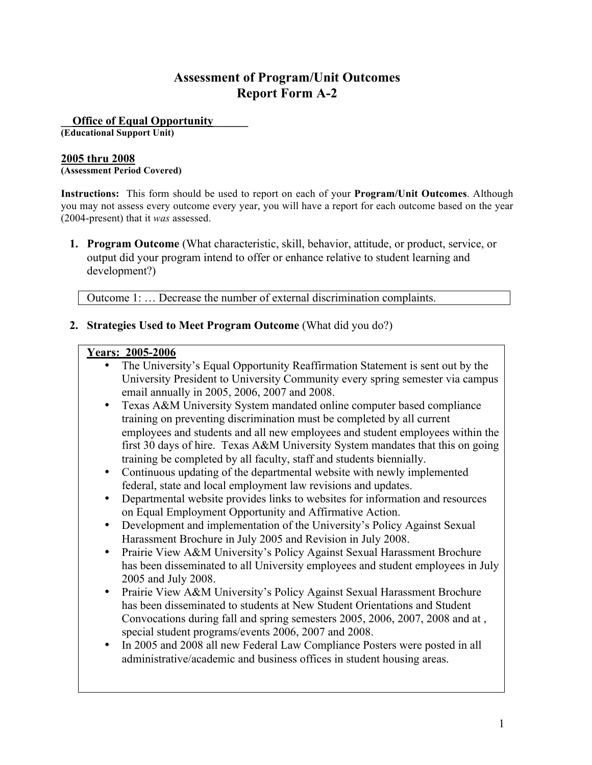# **Assessment of Program/Unit Outcomes Report Form A-2**

**\_\_Office of Equal Opportunity\_\_\_\_\_\_**

**(Educational Support Unit)**

#### **2005 thru 2008**

**(Assessment Period Covered)**

**Instructions:** This form should be used to report on each of your **Program/Unit Outcomes**. Although you may not assess every outcome every year, you will have a report for each outcome based on the year (2004-present) that it *was* assessed.

**1. Program Outcome** (What characteristic, skill, behavior, attitude, or product, service, or output did your program intend to offer or enhance relative to student learning and development?)

Outcome 1: … Decrease the number of external discrimination complaints.

#### **2. Strategies Used to Meet Program Outcome** (What did you do?)

#### **Years: 2005-2006**

- The University's Equal Opportunity Reaffirmation Statement is sent out by the University President to University Community every spring semester via campus email annually in 2005, 2006, 2007 and 2008.
- Texas A&M University System mandated online computer based compliance training on preventing discrimination must be completed by all current employees and students and all new employees and student employees within the first 30 days of hire. Texas A&M University System mandates that this on going training be completed by all faculty, staff and students biennially.
- Continuous updating of the departmental website with newly implemented federal, state and local employment law revisions and updates.
- Departmental website provides links to websites for information and resources on Equal Employment Opportunity and Affirmative Action.
- Development and implementation of the University's Policy Against Sexual Harassment Brochure in July 2005 and Revision in July 2008.
- Prairie View A&M University's Policy Against Sexual Harassment Brochure has been disseminated to all University employees and student employees in July 2005 and July 2008.
- Prairie View A&M University's Policy Against Sexual Harassment Brochure has been disseminated to students at New Student Orientations and Student Convocations during fall and spring semesters 2005, 2006, 2007, 2008 and at , special student programs/events 2006, 2007 and 2008.
- In 2005 and 2008 all new Federal Law Compliance Posters were posted in all administrative/academic and business offices in student housing areas.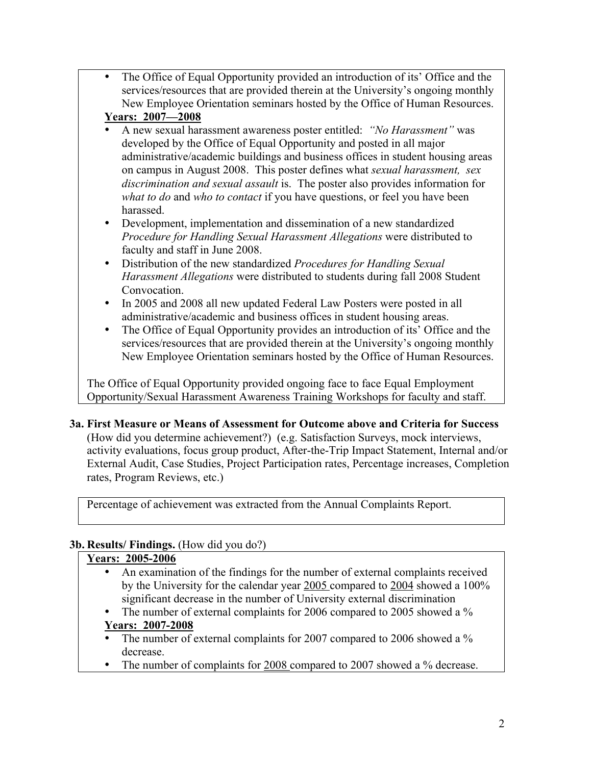The Office of Equal Opportunity provided an introduction of its' Office and the services/resources that are provided therein at the University's ongoing monthly New Employee Orientation seminars hosted by the Office of Human Resources.

# **Years: 2007—2008**

- A new sexual harassment awareness poster entitled: *"No Harassment"* was developed by the Office of Equal Opportunity and posted in all major administrative/academic buildings and business offices in student housing areas on campus in August 2008. This poster defines what *sexual harassment, sex discrimination and sexual assault* is. The poster also provides information for *what to do* and *who to contact* if you have questions, or feel you have been harassed.
- Development, implementation and dissemination of a new standardized *Procedure for Handling Sexual Harassment Allegations* were distributed to faculty and staff in June 2008.
- Distribution of the new standardized *Procedures for Handling Sexual Harassment Allegations* were distributed to students during fall 2008 Student Convocation.
- In 2005 and 2008 all new updated Federal Law Posters were posted in all administrative/academic and business offices in student housing areas.
- The Office of Equal Opportunity provides an introduction of its' Office and the services/resources that are provided therein at the University's ongoing monthly New Employee Orientation seminars hosted by the Office of Human Resources.

The Office of Equal Opportunity provided ongoing face to face Equal Employment Opportunity/Sexual Harassment Awareness Training Workshops for faculty and staff.

**3a. First Measure or Means of Assessment for Outcome above and Criteria for Success** (How did you determine achievement?) (e.g. Satisfaction Surveys, mock interviews, activity evaluations, focus group product, After-the-Trip Impact Statement, Internal and/or External Audit, Case Studies, Project Participation rates, Percentage increases, Completion rates, Program Reviews, etc.)

Percentage of achievement was extracted from the Annual Complaints Report.

# **3b. Results/ Findings.** (How did you do?)

### **Years: 2005-2006**

- An examination of the findings for the number of external complaints received by the University for the calendar year 2005 compared to 2004 showed a 100% significant decrease in the number of University external discrimination
- The number of external complaints for 2006 compared to 2005 showed a % **Years: 2007-2008**
- The number of external complaints for 2007 compared to 2006 showed a % decrease.
- The number of complaints for 2008 compared to 2007 showed a % decrease.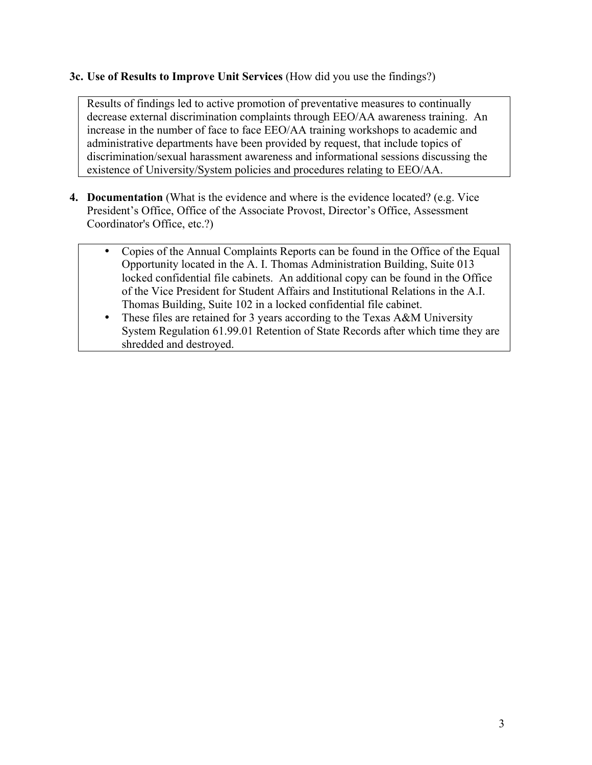### **3c. Use of Results to Improve Unit Services** (How did you use the findings?)

Results of findings led to active promotion of preventative measures to continually decrease external discrimination complaints through EEO/AA awareness training. An increase in the number of face to face EEO/AA training workshops to academic and administrative departments have been provided by request, that include topics of discrimination/sexual harassment awareness and informational sessions discussing the existence of University/System policies and procedures relating to EEO/AA.

- **4. Documentation** (What is the evidence and where is the evidence located? (e.g. Vice President's Office, Office of the Associate Provost, Director's Office, Assessment Coordinator's Office, etc.?)
	- Copies of the Annual Complaints Reports can be found in the Office of the Equal Opportunity located in the A. I. Thomas Administration Building, Suite 013 locked confidential file cabinets. An additional copy can be found in the Office of the Vice President for Student Affairs and Institutional Relations in the A.I. Thomas Building, Suite 102 in a locked confidential file cabinet.
	- These files are retained for 3 years according to the Texas A&M University System Regulation 61.99.01 Retention of State Records after which time they are shredded and destroyed.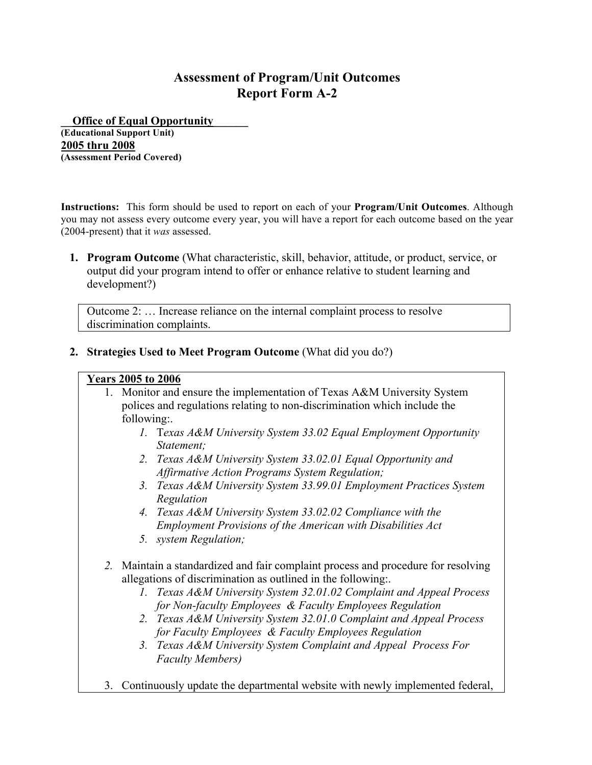# **Assessment of Program/Unit Outcomes Report Form A-2**

**\_\_Office of Equal Opportunity\_\_\_\_\_\_ (Educational Support Unit) 2005 thru 2008 (Assessment Period Covered)**

**Instructions:** This form should be used to report on each of your **Program/Unit Outcomes**. Although you may not assess every outcome every year, you will have a report for each outcome based on the year (2004-present) that it *was* assessed.

**1. Program Outcome** (What characteristic, skill, behavior, attitude, or product, service, or output did your program intend to offer or enhance relative to student learning and development?)

Outcome 2: … Increase reliance on the internal complaint process to resolve discrimination complaints.

**2. Strategies Used to Meet Program Outcome** (What did you do?)

#### **Years 2005 to 2006**

- 1. Monitor and ensure the implementation of Texas A&M University System polices and regulations relating to non-discrimination which include the following:.
	- *1.* T*exas A&M University System 33.02 Equal Employment Opportunity Statement;*
	- *2. Texas A&M University System 33.02.01 Equal Opportunity and Affirmative Action Programs System Regulation;*
	- *3. Texas A&M University System 33.99.01 Employment Practices System Regulation*
	- *4. Texas A&M University System 33.02.02 Compliance with the Employment Provisions of the American with Disabilities Act*
	- *5. system Regulation;*
- *2.* Maintain a standardized and fair complaint process and procedure for resolving allegations of discrimination as outlined in the following:.
	- *1. Texas A&M University System 32.01.02 Complaint and Appeal Process for Non-faculty Employees & Faculty Employees Regulation*
	- *2. Texas A&M University System 32.01.0 Complaint and Appeal Process for Faculty Employees & Faculty Employees Regulation*
	- *3. Texas A&M University System Complaint and Appeal Process For Faculty Members)*
- 3. Continuously update the departmental website with newly implemented federal,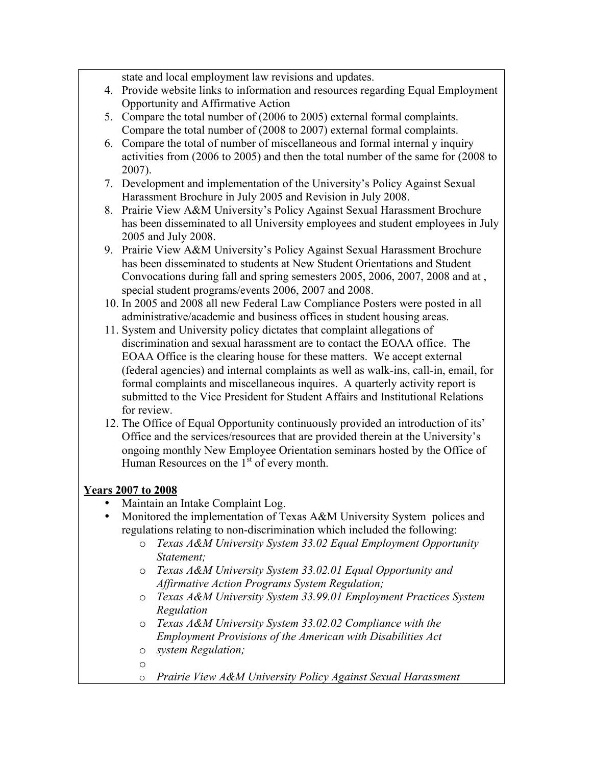state and local employment law revisions and updates.

- 4. Provide website links to information and resources regarding Equal Employment Opportunity and Affirmative Action
- 5. Compare the total number of (2006 to 2005) external formal complaints. Compare the total number of (2008 to 2007) external formal complaints.
- 6. Compare the total of number of miscellaneous and formal internal y inquiry activities from (2006 to 2005) and then the total number of the same for (2008 to 2007).
- 7. Development and implementation of the University's Policy Against Sexual Harassment Brochure in July 2005 and Revision in July 2008.
- 8. Prairie View A&M University's Policy Against Sexual Harassment Brochure has been disseminated to all University employees and student employees in July 2005 and July 2008.
- 9. Prairie View A&M University's Policy Against Sexual Harassment Brochure has been disseminated to students at New Student Orientations and Student Convocations during fall and spring semesters 2005, 2006, 2007, 2008 and at , special student programs/events 2006, 2007 and 2008.
- 10. In 2005 and 2008 all new Federal Law Compliance Posters were posted in all administrative/academic and business offices in student housing areas.
- 11. System and University policy dictates that complaint allegations of discrimination and sexual harassment are to contact the EOAA office. The EOAA Office is the clearing house for these matters. We accept external (federal agencies) and internal complaints as well as walk-ins, call-in, email, for formal complaints and miscellaneous inquires. A quarterly activity report is submitted to the Vice President for Student Affairs and Institutional Relations for review.
- 12. The Office of Equal Opportunity continuously provided an introduction of its' Office and the services/resources that are provided therein at the University's ongoing monthly New Employee Orientation seminars hosted by the Office of Human Resources on the  $1<sup>st</sup>$  of every month.

# **Years 2007 to 2008**

- Maintain an Intake Complaint Log.
- Monitored the implementation of Texas A&M University System polices and regulations relating to non-discrimination which included the following:
	- o *Texas A&M University System 33.02 Equal Employment Opportunity Statement;*
	- o *Texas A&M University System 33.02.01 Equal Opportunity and Affirmative Action Programs System Regulation;*
	- o *Texas A&M University System 33.99.01 Employment Practices System Regulation*
	- o *Texas A&M University System 33.02.02 Compliance with the Employment Provisions of the American with Disabilities Act*
	- o *system Regulation;*
	- o
	- o *Prairie View A&M University Policy Against Sexual Harassment*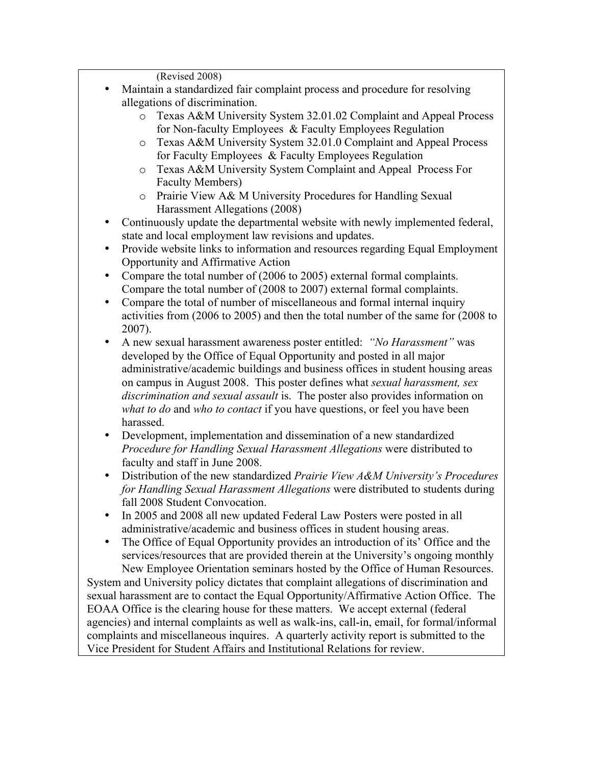(Revised 2008)

- Maintain a standardized fair complaint process and procedure for resolving allegations of discrimination.
	- o Texas A&M University System 32.01.02 Complaint and Appeal Process for Non-faculty Employees & Faculty Employees Regulation
	- o Texas A&M University System 32.01.0 Complaint and Appeal Process for Faculty Employees & Faculty Employees Regulation
	- o Texas A&M University System Complaint and Appeal Process For Faculty Members)
	- o Prairie View A& M University Procedures for Handling Sexual Harassment Allegations (2008)
- Continuously update the departmental website with newly implemented federal, state and local employment law revisions and updates.
- Provide website links to information and resources regarding Equal Employment Opportunity and Affirmative Action
- Compare the total number of (2006 to 2005) external formal complaints. Compare the total number of (2008 to 2007) external formal complaints.
- Compare the total of number of miscellaneous and formal internal inquiry activities from (2006 to 2005) and then the total number of the same for (2008 to 2007).
- A new sexual harassment awareness poster entitled: *"No Harassment"* was developed by the Office of Equal Opportunity and posted in all major administrative/academic buildings and business offices in student housing areas on campus in August 2008. This poster defines what *sexual harassment, sex discrimination and sexual assault* is. The poster also provides information on *what to do* and *who to contact* if you have questions, or feel you have been harassed.
- Development, implementation and dissemination of a new standardized *Procedure for Handling Sexual Harassment Allegations* were distributed to faculty and staff in June 2008.
- Distribution of the new standardized *Prairie View A&M University's Procedures for Handling Sexual Harassment Allegations* were distributed to students during fall 2008 Student Convocation.
- In 2005 and 2008 all new updated Federal Law Posters were posted in all administrative/academic and business offices in student housing areas.
- The Office of Equal Opportunity provides an introduction of its' Office and the services/resources that are provided therein at the University's ongoing monthly New Employee Orientation seminars hosted by the Office of Human Resources.

System and University policy dictates that complaint allegations of discrimination and sexual harassment are to contact the Equal Opportunity/Affirmative Action Office. The EOAA Office is the clearing house for these matters. We accept external (federal agencies) and internal complaints as well as walk-ins, call-in, email, for formal/informal complaints and miscellaneous inquires. A quarterly activity report is submitted to the Vice President for Student Affairs and Institutional Relations for review.